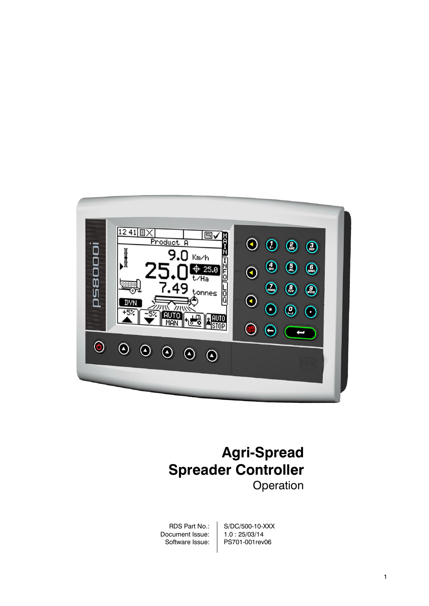

# **Agri-Spread Spreader Controller Operation**

RDS Part No.: Document Issue: Software Issue: S/DC/500-10-XXX 1.0 : 25/03/14 PS701-001rev06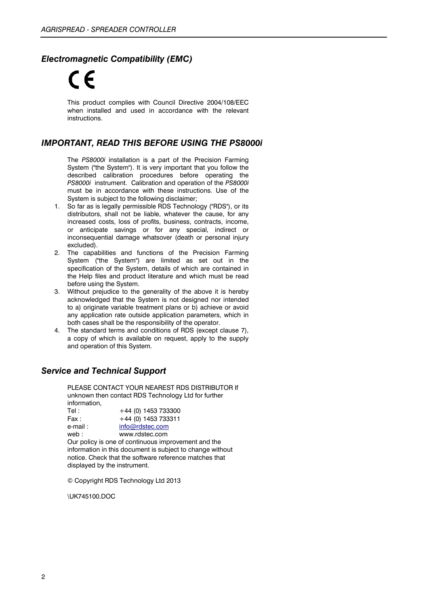### *Electromagnetic Compatibility (EMC)*

This product complies with Council Directive 2004/108/EEC when installed and used in accordance with the relevant instructions.

#### *IMPORTANT, READ THIS BEFORE USING THE PS8000i*

The *PS8000i* installation is a part of the Precision Farming System ("the System"). It is very important that you follow the described calibration procedures before operating the *PS8000i* instrument. Calibration and operation of the *PS8000i* must be in accordance with these instructions. Use of the System is subject to the following disclaimer;

- 1. So far as is legally permissible RDS Technology ("RDS"), or its distributors, shall not be liable, whatever the cause, for any increased costs, loss of profits, business, contracts, income, or anticipate savings or for any special, indirect or inconsequential damage whatsover (death or personal injury excluded).
- 2. The capabilities and functions of the Precision Farming System ("the System") are limited as set out in the specification of the System, details of which are contained in the Help files and product literature and which must be read before using the System.
- 3. Without prejudice to the generality of the above it is hereby acknowledged that the System is not designed nor intended to a) originate variable treatment plans or b) achieve or avoid any application rate outside application parameters, which in both cases shall be the responsibility of the operator.
- 4. The standard terms and conditions of RDS (except clause 7), a copy of which is available on request, apply to the supply and operation of this System.

### *Service and Technical Support*

PLEASE CONTACT YOUR NEAREST RDS DISTRIBUTOR If unknown then contact RDS Technology Ltd for further information,

Tel: +44 (0) 1453 733300  $Fax: +44(0)$  1453 733311 e-mail : [info@rdstec.com](mailto:info@rdstec.com)

web : www.rdstec.com Our policy is one of continuous improvement and the information in this document is subject to change without notice. Check that the software reference matches that displayed by the instrument.

© Copyright RDS Technology Ltd 2013

\UK745100.DOC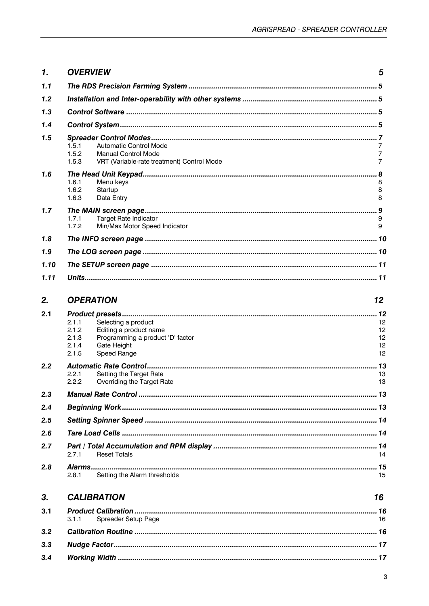| $\mathbf{1}$ | <b>OVERVIEW</b>                                                                                                                                              | 5                          |
|--------------|--------------------------------------------------------------------------------------------------------------------------------------------------------------|----------------------------|
| 1.1          |                                                                                                                                                              |                            |
| 1.2          |                                                                                                                                                              |                            |
| 1.3          |                                                                                                                                                              |                            |
| 1.4          |                                                                                                                                                              |                            |
| 1.5          | <b>Automatic Control Mode</b><br>1.5.1<br>1.5.2<br><b>Manual Control Mode</b><br>1.5.3<br>VRT (Variable-rate treatment) Control Mode                         | 7<br>7<br>$\overline{7}$   |
| 1.6          | 1.6.1<br>Menu keys<br>1.6.2<br>Startup<br>1.6.3<br>Data Entry                                                                                                | 8<br>8<br>8                |
| 1.7          | 1.7.1<br><b>Target Rate Indicator</b><br>1.7.2<br>Min/Max Motor Speed Indicator                                                                              | 9<br>9                     |
| 1.8          |                                                                                                                                                              |                            |
| 1.9          |                                                                                                                                                              |                            |
| 1.10         |                                                                                                                                                              |                            |
| 1.11         |                                                                                                                                                              |                            |
| 2.           | <b>OPERATION</b>                                                                                                                                             | 12                         |
| 2.1          | 2.1.1<br>Selecting a product<br>2.1.2<br>Editing a product name<br>Programming a product 'D' factor<br>2.1.3<br>2.1.4<br>Gate Height<br>Speed Range<br>2.1.5 | 12<br>12<br>12<br>12<br>12 |
| 2.2          | 2.2.1<br>Setting the Target Rate<br>2.2.2<br>Overriding the Target Rate                                                                                      | 13<br>13                   |
| 2.3          |                                                                                                                                                              |                            |
| 2.4          |                                                                                                                                                              |                            |
| 2.5          |                                                                                                                                                              |                            |
| 2.6          |                                                                                                                                                              |                            |
| 2.7          | <b>Reset Totals</b><br>2.7.1                                                                                                                                 | 14                         |
| 2.8          | Setting the Alarm thresholds<br>2.8.1                                                                                                                        | 15                         |
| 3.           | <b>CALIBRATION</b>                                                                                                                                           | 16                         |
| 3.1          | 3.1.1<br>Spreader Setup Page                                                                                                                                 | 16                         |
| 3.2          |                                                                                                                                                              |                            |
| 3.3          |                                                                                                                                                              |                            |
| 3.4          |                                                                                                                                                              |                            |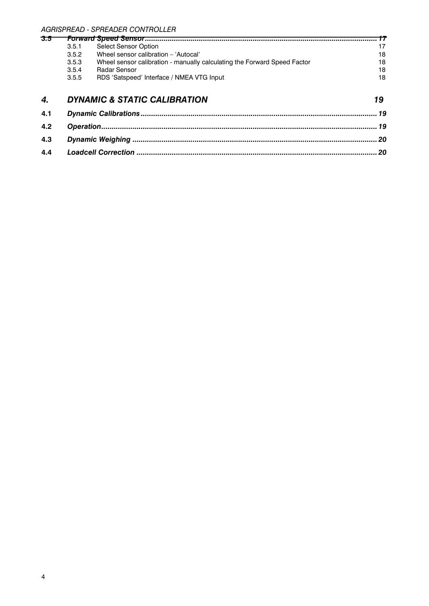# *AGRISPREAD - SPREADER CONTROLLER*

| 3.5 |       |                                                                          |    |
|-----|-------|--------------------------------------------------------------------------|----|
|     | 3.5.1 | Select Sensor Option                                                     | 17 |
|     | 3.5.2 | Wheel sensor calibration - 'Autocal'                                     | 18 |
|     | 3.5.3 | Wheel sensor calibration - manually calculating the Forward Speed Factor | 18 |
|     | 3.5.4 | Radar Sensor                                                             | 18 |
|     | 3.5.5 | RDS 'Satspeed' Interface / NMEA VTG Input                                | 18 |
|     |       |                                                                          |    |

## *4. DYNAMIC & STATIC CALIBRATION 19*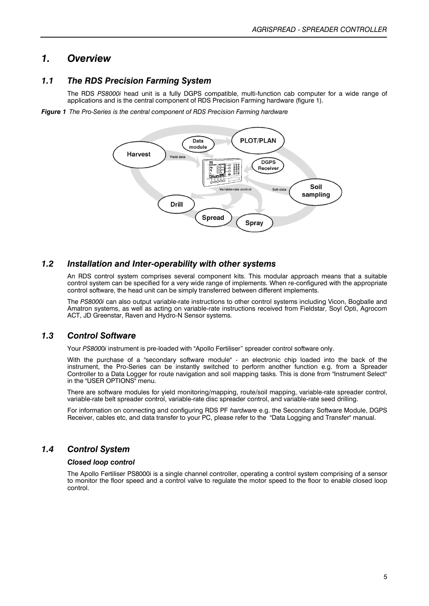### *1. Overview*

#### *1.1 The RDS Precision Farming System*

The RDS *PS8000i* head unit is a fully DGPS compatible, multi-function cab computer for a wide range of applications and is the central component of RDS Precision Farming hardware (figure 1).

*Figure 1 The Pro-Series is the central component of RDS Precision Farming hardware*



#### *1.2 Installation and Inter-operability with other systems*

An RDS control system comprises several component kits. This modular approach means that a suitable control system can be specified for a very wide range of implements. When re-configured with the appropriate control software, the head unit can be simply transferred between different implements.

The *PS8000i* can also output variable-rate instructions to other control systems including Vicon, Bogballe and Amatron systems, as well as acting on variable-rate instructions received from Fieldstar, Soyl Opti, Agrocom ACT, JD Greenstar, Raven and Hydro-N Sensor systems.

#### *1.3 Control Software*

Your *PS800*0*i* instrument is pre-loaded with "Apollo Fertiliser" spreader control software only.

With the purchase of a "secondary software module" - an electronic chip loaded into the back of the instrument, the Pro-Series can be instantly switched to perform another function e.g. from a Spreader Controller to a Data Logger for route navigation and soil mapping tasks. This is done from "Instrument Select" in the "USER OPTIONS" menu.

There are software modules for yield monitoring/mapping, route/soil mapping, variable-rate spreader control, variable-rate belt spreader control, variable-rate disc spreader control, and variable-rate seed drilling.

For information on connecting and configuring RDS PF *hardware* e.g. the Secondary Software Module, DGPS Receiver, cables etc, and data transfer to your PC, please refer to the "Data Logging and Transfer" manual.

#### *1.4 Control System*

#### *Closed loop control*

The Apollo Fertiliser PS8000i is a single channel controller, operating a control system comprising of a sensor to monitor the floor speed and a control valve to regulate the motor speed to the floor to enable closed loop control.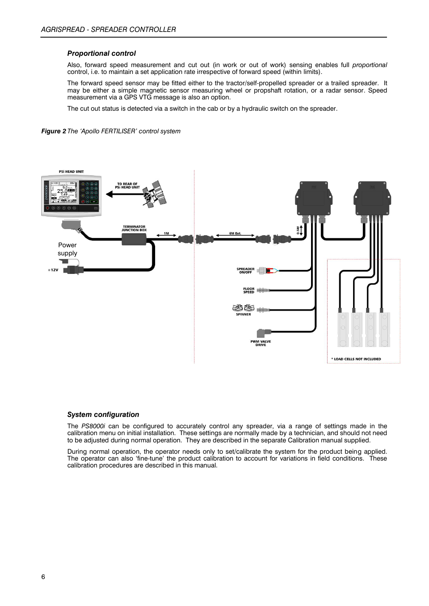#### *Proportional control*

Also, forward speed measurement and cut out (in work or out of work) sensing enables full *proportional* control, i.e. to maintain a set application rate irrespective of forward speed (within limits).

The forward speed sensor may be fitted either to the tractor/self-propelled spreader or a trailed spreader. It may be either a simple magnetic sensor measuring wheel or propshaft rotation, or a radar sensor. Speed measurement via a GPS VTG message is also an option.

The cut out status is detected via a switch in the cab or by a hydraulic switch on the spreader.





#### *System configuration*

The *PS8000i* can be configured to accurately control any spreader, via a range of settings made in the calibration menu on initial installation. These settings are normally made by a technician, and should not need to be adjusted during normal operation. They are described in the separate Calibration manual supplied.

During normal operation, the operator needs only to set/calibrate the system for the product being applied. The operator can also 'fine-tune' the product calibration to account for variations in field conditions. These calibration procedures are described in this manual.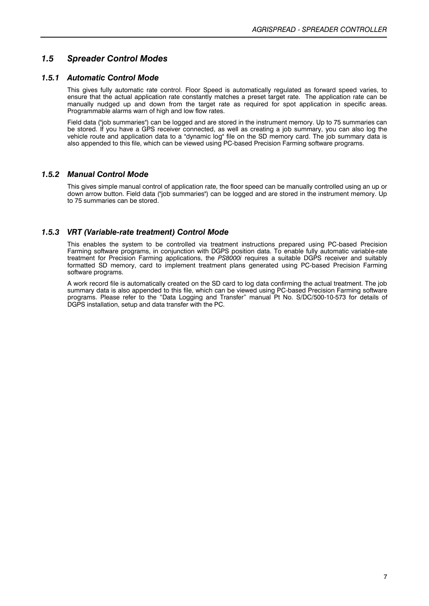### *1.5 Spreader Control Modes*

#### *1.5.1 Automatic Control Mode*

This gives fully automatic rate control. Floor Speed is automatically regulated as forward speed varies, to ensure that the actual application rate constantly matches a preset target rate. The application rate can be manually nudged up and down from the target rate as required for spot application in specific areas. Programmable alarms warn of high and low flow rates.

Field data ("job summaries") can be logged and are stored in the instrument memory. Up to 75 summaries can be stored. If you have a GPS receiver connected, as well as creating a job summary, you can also log the vehicle route and application data to a "dynamic log" file on the SD memory card. The job summary data is also appended to this file, which can be viewed using PC-based Precision Farming software programs.

#### *1.5.2 Manual Control Mode*

This gives simple manual control of application rate, the floor speed can be manually controlled using an up or down arrow button. Field data ("job summaries") can be logged and are stored in the instrument memory. Up to 75 summaries can be stored.

#### *1.5.3 VRT (Variable-rate treatment) Control Mode*

This enables the system to be controlled via treatment instructions prepared using PC-based Precision Farming software programs, in conjunction with DGPS position data. To enable fully automatic variable-rate treatment for Precision Farming applications, the *PS8000i* requires a suitable DGPS receiver and suitably formatted SD memory, card to implement treatment plans generated using PC-based Precision Farming software programs.

A work record file is automatically created on the SD card to log data confirming the actual treatment. The job summary data is also appended to this file, which can be viewed using PC-based Precision Farming software programs. Please refer to the "Data Logging and Transfer" manual Pt No. S/DC/500-10-573 for details of DGPS installation, setup and data transfer with the PC.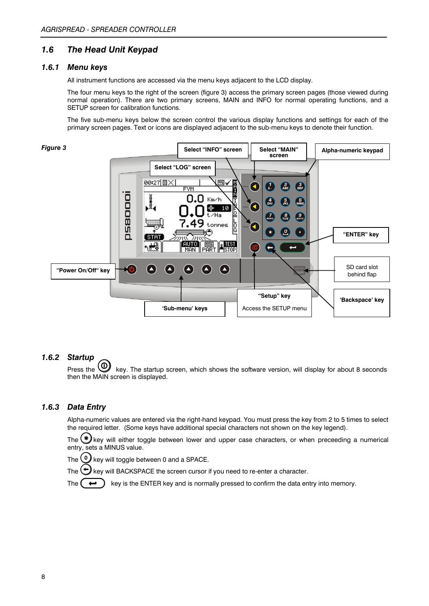#### *1.6 The Head Unit Keypad*

#### *1.6.1 Menu keys*

All instrument functions are accessed via the menu keys adjacent to the LCD display.

The four menu keys to the right of the screen (figure 3) access the primary screen pages (those viewed during normal operation). There are two primary screens, MAIN and INFO for normal operating functions, and a SETUP screen for calibration functions.

The five sub-menu keys below the screen control the various display functions and settings for each of the primary screen pages. Text or icons are displayed adjacent to the sub-menu keys to denote their function.



#### *1.6.2 Startup*

Press the  $\bigcirc$  key. The startup screen, which shows the software version, will display for about 8 seconds then the MAIN screen is displayed.

#### *1.6.3 Data Entry*

Alpha-numeric values are entered via the right-hand keypad. You must press the key from 2 to 5 times to select the required letter. (Some keys have additional special characters not shown on the key legend).

The  $(*)$  key will either toggle between lower and upper case characters, or when preceeding a numerical entry, sets a MINUS value.

The  $\bigcirc$  key will toggle between 0 and a SPACE.

The  $\bigodot$  key will BACKSPACE the screen cursor if you need to re-enter a character.

The  $(\leftrightarrow)$  key is the ENTER key and is normally pressed to confirm the data entry into memory.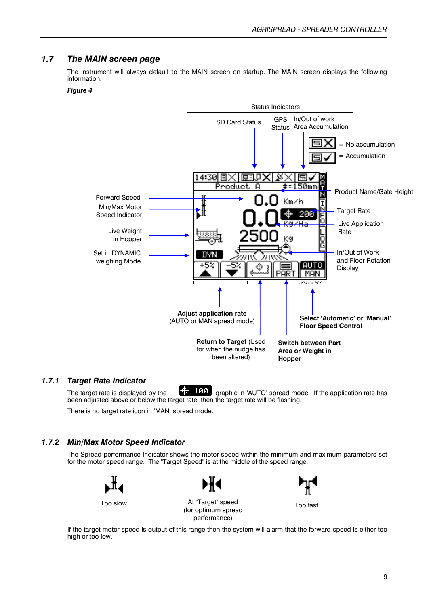#### *1.7 The MAIN screen page*

The instrument will always default to the MAIN screen on startup. The MAIN screen displays the following information.

#### *Figure 4*



#### *1.7.1 Target Rate Indicator*

The target rate is displayed by the  $\frac{199}{190}$  graphic in 'AUTO' spread mode. If the application rate has been adjusted above or below the target rate, then the target rate will be flashing.

There is no target rate icon in 'MAN' spread mode.

#### *1.7.2 Min/Max Motor Speed Indicator*

The Spread performance Indicator shows the motor speed within the minimum and maximum parameters set for the motor speed range. The "Target Speed" is at the middle of the speed range.





performance)

Too slow At "Target" speed (for optimum spread



Too fast

If the target motor speed is output of this range then the system will alarm that the forward speed is either too high or too low.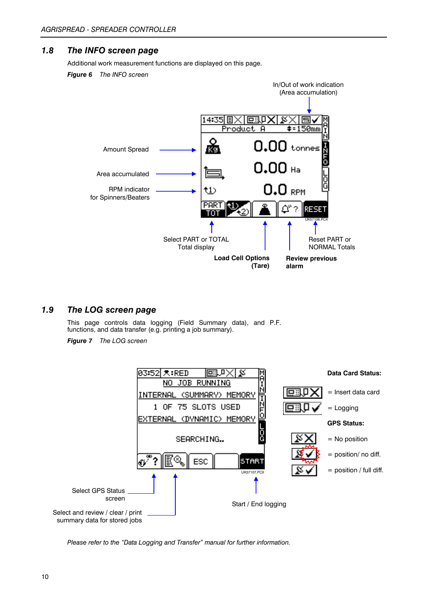#### *1.8 The INFO screen page*

Additional work measurement functions are displayed on this page.

*Figure 6 The INFO screen*



### *1.9 The LOG screen page*

This page controls data logging (Field Summary data), and P.F. functions, and data transfer (e.g. printing a job summary).

*Figure 7 The LOG screen*



*Please refer to the "Data Logging and Transfer" manual for further information.*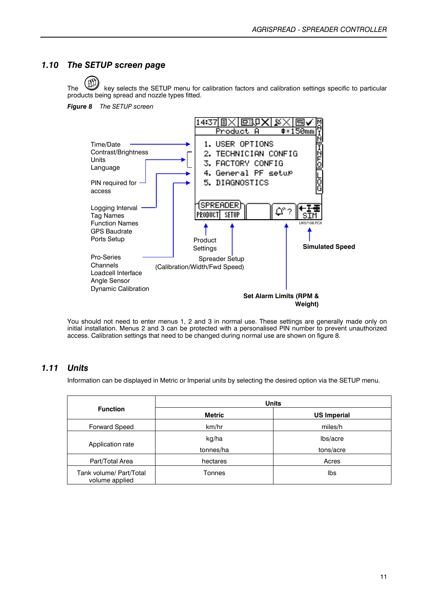#### *1.10 The SETUP screen page*

The key selects the SETUP menu for calibration factors and calibration settings specific to particular products being spread and nozzle types fitted.

*Figure 8 The SETUP screen*



You should not need to enter menus 1, 2 and 3 in normal use. These settings are generally made only on initial installation. Menus 2 and 3 can be protected with a personalised PIN number to prevent unauthorized access. Calibration settings that need to be changed during normal use are shown on figure 8.

#### *1.11 Units*

Information can be displayed in Metric or Imperial units by selecting the desired option via the SETUP menu.

|                                           | <b>Units</b>  |                    |  |  |
|-------------------------------------------|---------------|--------------------|--|--|
| <b>Function</b>                           | <b>Metric</b> | <b>US Imperial</b> |  |  |
| <b>Forward Speed</b>                      | km/hr         | miles/h            |  |  |
|                                           | kg/ha         | lbs/acre           |  |  |
| Application rate                          | tonnes/ha     | tons/acre          |  |  |
| Part/Total Area                           | hectares      | Acres              |  |  |
| Tank volume/ Part/Total<br>volume applied | Tonnes        | Ibs                |  |  |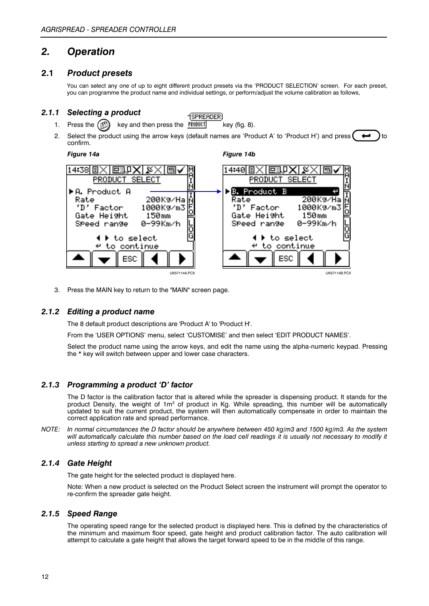### *2. Operation*

#### **2.1** *Product presets*

You can select any one of up to eight different product presets via the 'PRODUCT SELECTION' screen. For each preset, you can programme the product name and individual settings, or perform/adjust the volume calibration as follows,

#### *2.1.1 Selecting a product*

- **SPREADER** 1. Press the  $\binom{n}{k}$  key and then press the PRODUCT key (fig. 8).
- 2. Select the product using the arrow keys (default names are 'Product A' to 'Product H') and press  $\leftrightarrow$ confirm.

*Figure 14a Figure 14b*



3. Press the MAIN key to return to the "MAIN" screen page.

#### *2.1.2 Editing a product name*

The 8 default product descriptions are 'Product A' to 'Product H'.

From the 'USER OPTIONS' menu, select 'CUSTOMISE' and then select 'EDIT PRODUCT NAMES'.

Select the product name using the arrow keys, and edit the name using the alpha-numeric keypad. Pressing the \* key will switch between upper and lower case characters.

#### *2.1.3 Programming a product 'D' factor*

The D factor is the calibration factor that is altered while the spreader is dispensing product. It stands for the product Density, the weight of  $1m<sup>3</sup>$  of product in Kg. While spreading, this number will be automatically updated to suit the current product, the system will then automatically compensate in order to maintain the correct application rate and spread performance.

*NOTE: In normal circumstances the D factor should be anywhere between 450 kg/m3 and 1500 kg/m3. As the system will automatically calculate this number based on the load cell readings it is usually not necessary to modify it unless starting to spread a new unknown product.*

#### *2.1.4 Gate Height*

The gate height for the selected product is displayed here.

Note: When a new product is selected on the Product Select screen the instrument will prompt the operator to re-confirm the spreader gate height.

#### *2.1.5 Speed Range*

The operating speed range for the selected product is displayed here. This is defined by the characteristics of the minimum and maximum floor speed, gate height and product calibration factor. The auto calibration will attempt to calculate a gate height that allows the target forward speed to be in the middle of this range.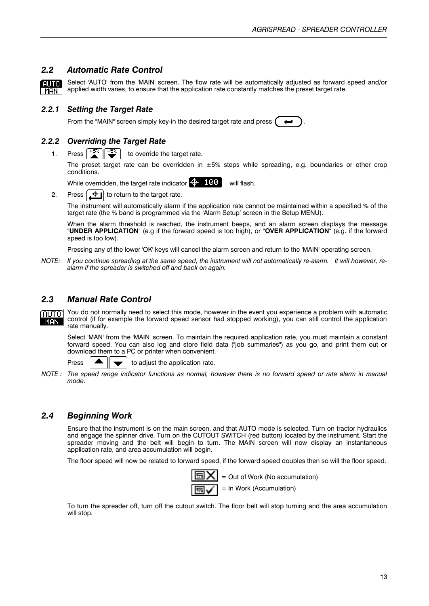#### *2.2 Automatic Rate Control*

Select 'AUTO' from the 'MAIN' screen. The flow rate will be automatically adjusted as forward speed and/or ALITO) applied width varies, to ensure that the application rate constantly matches the preset target rate.  $MAN$ 

#### *2.2.1 Setting the Target Rate*

From the "MAIN" screen simply key-in the desired target rate and press .

#### *2.2.2 Overriding the Target Rate*

1. Press  $\frac{1+2\epsilon}{2}$   $\frac{1-2\epsilon}{2}$  to override the target rate.

The preset target rate can be overridden in  $\pm 5%$  steps while spreading, e.g. boundaries or other crop conditions.

While overridden, the target rate indicator  $\frac{1}{2}$  188 will flash.

2. Press  $\left| \frac{1}{x+1} \right|$  to return to the target rate.

The instrument will automatically alarm if the application rate cannot be maintained within a specified % of the target rate (the % band is programmed via the 'Alarm Setup' screen in the Setup MENU).

When the alarm threshold is reached, the instrument beeps, and an alarm screen displays the message "**UNDER APPLICATION**" (e.g if the forward speed is too high), or "**OVER APPLICATION**" (e.g. if the forward speed is too low).

Pressing any of the lower 'OK' keys will cancel the alarm screen and return to the 'MAIN' operating screen.

*NOTE: If you continue spreading at the same speed, the instrument will not automatically re-alarm. It will however, realarm if the spreader is switched off and back on again.*

#### *2.3 Manual Rate Control*

You do not normally need to select this mode, however in the event you experience a problem with automatic மாவ control (if for example the forward speed sensor had stopped working), you can still control the application **MAN** rate manually.

Select 'MAN' from the 'MAIN' screen. To maintain the required application rate, you must maintain a constant forward speed. You can also log and store field data ("job summaries") as you go, and print them out or download them to a PC or printer when convenient.

Press  $\triangle \parallel \blacktriangleright$  to adjust the application rate.

*NOTE : The speed range indicator functions as normal, however there is no forward speed or rate alarm in manual mode.*

#### *2.4 Beginning Work*

Ensure that the instrument is on the main screen, and that AUTO mode is selected. Turn on tractor hydraulics and engage the spinner drive. Turn on the CUTOUT SWITCH (red button) located by the instrument. Start the spreader moving and the belt will begin to turn. The MAIN screen will now display an instantaneous application rate, and area accumulation will begin.

The floor speed will now be related to forward speed, if the forward speed doubles then so will the floor speed.



To turn the spreader off, turn off the cutout switch. The floor belt will stop turning and the area accumulation will stop.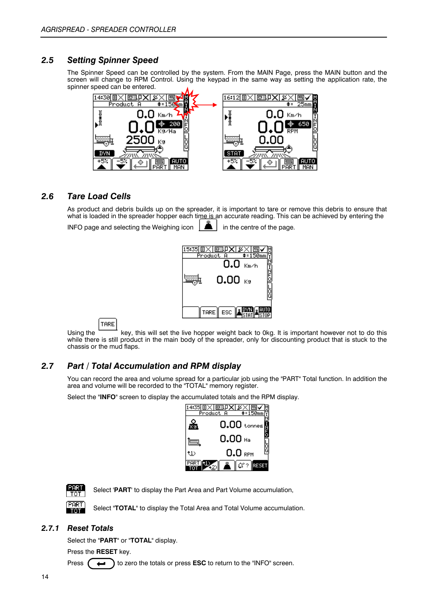#### *2.5 Setting Spinner Speed*

The Spinner Speed can be controlled by the system. From the MAIN Page, press the MAIN button and the screen will change to RPM Control. Using the keypad in the same way as setting the application rate, the spinner speed can be entered.



#### *2.6 Tare Load Cells*

As product and debris builds up on the spreader, it is important to tare or remove this debris to ensure that what is loaded in the spreader hopper each time is an accurate reading. This can be achieved by entering the INFO page and selecting the Weighing icon  $\|\triangle$  in the centre of the page.



TARE

Using the key, this will set the live hopper weight back to 0kg. It is important however not to do this while there is still product in the main body of the spreader, only for discounting product that is stuck to the chassis or the mud flaps.

#### *2.7 Part / Total Accumulation and RPM display*

You can record the area and volume spread for a particular job using the "PART" Total function. In addition the area and volume will be recorded to the "TOTAL" memory register.

Select the "**INFO**" screen to display the accumulated totals and the RPM display.

| Produc | 原眼 XL<br>☶     |
|--------|----------------|
|        | $0.00$ tonnes  |
|        | 0.00 Ha        |
| t1)    | ă<br>$0.0$ rpm |
|        |                |



Select '**PART**' to display the Part Area and Part Volume accumulation,

Select "**TOTAL**" to display the Total Area and Total Volume accumulation.  $\overline{\text{m}}$ 

#### *2.7.1 Reset Totals*

Select the "**PART**" or "**TOTAL**" display.

Press the **RESET** key.

Press  $($   $\leftrightarrow$   $)$  to zero the totals or press **ESC** to return to the "INFO" screen.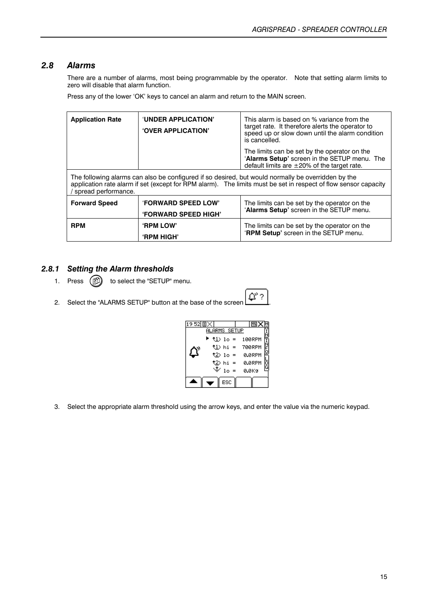#### *2.8 Alarms*

There are a number of alarms, most being programmable by the operator. Note that setting alarm limits to zero will disable that alarm function.

Press any of the lower 'OK' keys to cancel an alarm and return to the MAIN screen.

| <b>Application Rate</b>                                                    | 'UNDER APPLICATION'<br><b>'OVER APPLICATION'</b>                                                                                                                                                                      | This alarm is based on % variance from the<br>target rate. It therefore alerts the operator to<br>speed up or slow down until the alarm condition<br>is cancelled. |  |  |  |
|----------------------------------------------------------------------------|-----------------------------------------------------------------------------------------------------------------------------------------------------------------------------------------------------------------------|--------------------------------------------------------------------------------------------------------------------------------------------------------------------|--|--|--|
|                                                                            |                                                                                                                                                                                                                       | The limits can be set by the operator on the<br>'Alarms Setup' screen in the SETUP menu. The<br>default limits are $\pm 20\%$ of the target rate.                  |  |  |  |
| spread performance.                                                        | The following alarms can also be configured if so desired, but would normally be overridden by the<br>application rate alarm if set (except for RPM alarm). The limits must be set in respect of flow sensor capacity |                                                                                                                                                                    |  |  |  |
| <b>'FORWARD SPEED LOW'</b><br><b>Forward Speed</b><br>'FORWARD SPEED HIGH' |                                                                                                                                                                                                                       | The limits can be set by the operator on the<br>'Alarms Setup' screen in the SETUP menu.                                                                           |  |  |  |
| <b>RPM</b>                                                                 | <b>'RPM LOW'</b><br><b>'RPM HIGH'</b>                                                                                                                                                                                 | The limits can be set by the operator on the<br>'RPM Setup' screen in the SETUP menu.                                                                              |  |  |  |

#### *2.8.1 Setting the Alarm thresholds*

1. Press  $\left(\begin{matrix}n\\ n\end{matrix}\right)$  to select the "SETUP" menu.

| ۰ |  |
|---|--|
|   |  |

2. Select the "ALARMS SETUP" button at the base of the screen  $\Box$ 

| 1952 目 |                  |                  |
|--------|------------------|------------------|
|        | ALARMS SETUP     |                  |
|        | $\cup$ 10 =      | 100RPM           |
|        |                  | $1)$ hi = 700RPM |
|        | $(2)$ 10 =       | 0.0RPM           |
|        | 122) hi =<br>.+. | 0.0RPM           |
|        | $10 =$           | 0.0K9            |
|        | ESC              |                  |
|        |                  |                  |

3. Select the appropriate alarm threshold using the arrow keys, and enter the value via the numeric keypad.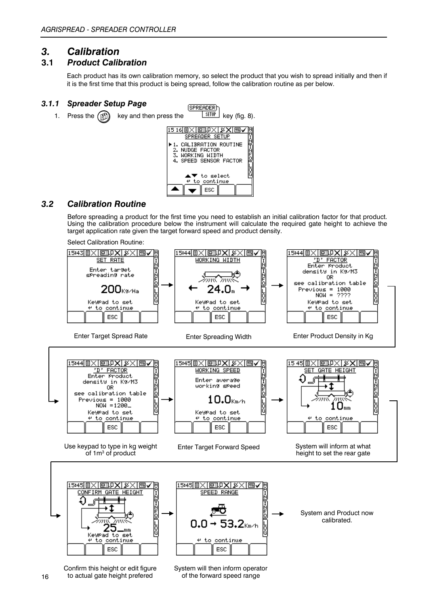### *3. Calibration*

#### **3.1** *Product Calibration*

Each product has its own calibration memory, so select the product that you wish to spread initially and then if it is the first time that this product is being spread, follow the calibration routine as per below.

#### *3.1.1 Spreader Setup Page*



#### *3.2 Calibration Routine*

Before spreading a product for the first time you need to establish an initial calibration factor for that product. Using the calibration procedure below the instrument will calculate the required gate height to achieve the target application rate given the target forward speed and product density.

Select Calibration Routine:



Confirm this height or edit figure to actual gate height prefered

System will then inform operator of the forward speed range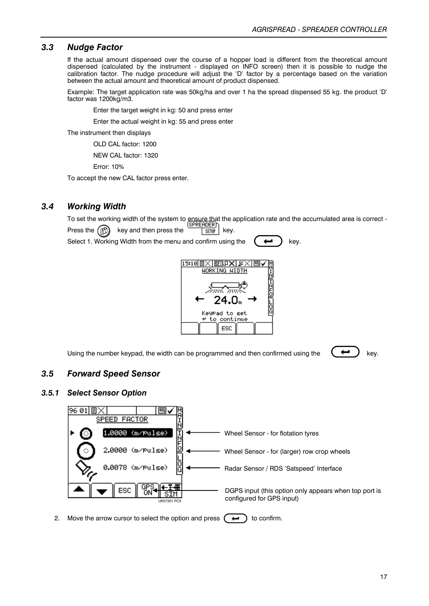#### *3.3 Nudge Factor*

If the actual amount dispensed over the course of a hopper load is different from the theoretical amount dispensed (calculated by the instrument - displayed on INFO screen) then it is possible to nudge the calibration factor. The nudge procedure will adjust the 'D' factor by a percentage based on the variation between the actual amount and theoretical amount of product dispensed.

Example: The target application rate was 50kg/ha and over 1 ha the spread dispensed 55 kg. the product 'D' factor was 1200kg/m3.

Enter the target weight in kg: 50 and press enter

Enter the actual weight in kg: 55 and press enter

The instrument then displays

OLD CAL factor: 1200

NEW CAL factor: 1320

Error: 10%

To accept the new CAL factor press enter.

#### *3.4 Working Width*

To set the working width of the system to ensure that the application rate and the accumulated area is correct -Press the  $(k)$  key and then press the  $\frac{1}{k}$  key.

Select 1. Working Width from the menu and confirm using the  $\left($   $\leftrightarrow$   $\right)$  key.

![](_page_16_Picture_14.jpeg)

Using the number keypad, the width can be programmed and then confirmed using the  $\left\langle \right\rangle$  key.

#### *3.5 Forward Speed Sensor*

#### *3.5.1 Select Sensor Option*

![](_page_16_Figure_19.jpeg)

2. Move the arrow cursor to select the option and press  $(\leftrightarrow)$  to confirm.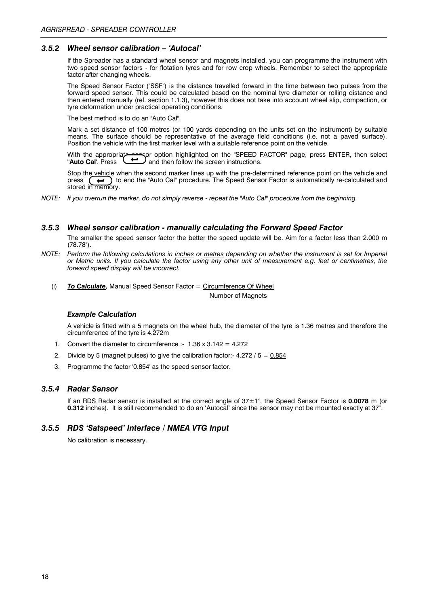#### *3.5.2 Wheel sensor calibration – 'Autocal'*

If the Spreader has a standard wheel sensor and magnets installed, you can programme the instrument with two speed sensor factors - for flotation tyres and for row crop wheels. Remember to select the appropriate factor after changing wheels.

The Speed Sensor Factor ("SSF") is the distance travelled forward in the time between two pulses from the forward speed sensor. This could be calculated based on the nominal tyre diameter or rolling distance and then entered manually (ref. section 1.1.3), however this does not take into account wheel slip, compaction, or tyre deformation under practical operating conditions.

The best method is to do an "Auto Cal".

Mark a set distance of 100 metres (or 100 yards depending on the units set on the instrument) by suitable means. The surface should be representative of the average field conditions (i.e. not a paved surface). Position the vehicle with the first marker level with a suitable reference point on the vehicle.

With the appropriate sensor option highlighted on the "SPEED FACTOR" page, press ENTER, then select **"Auto Cal'**. Press  $\Box$  and then follow the screen instructions.

Stop the vehicle when the second marker lines up with the pre-determined reference point on the vehicle and press  $\left(\rightarrow\right)$  to end the "Auto Cal" procedure. The Speed Sensor Factor is automatically re-calculated and **press to end the "Auto Cal" procedure. The Speed Sensor Factor is automatically re-calculated and** stored in memory.

*NOTE: If you overrun the marker, do not simply reverse - repeat the "Auto Cal" procedure from the beginning.*

#### *3.5.3 Wheel sensor calibration - manually calculating the Forward Speed Factor*

The smaller the speed sensor factor the better the speed update will be. Aim for a factor less than 2.000 m (78.78").

- *NOTE: Perform the following calculations in inches or metres depending on whether the instrument is set for Imperial or Metric units. If you calculate the factor using any other unit of measurement e.g. feet or centimetres, the forward speed display will be incorrect.*
	- (i) *To Calculate,* Manual Speed Sensor Factor = Circumference Of Wheel Number of Magnets

#### *Example Calculation*

A vehicle is fitted with a 5 magnets on the wheel hub, the diameter of the tyre is 1.36 metres and therefore the circumference of the tyre is 4.272m

- 1. Convert the diameter to circumference :-  $1.36 \times 3.142 = 4.272$
- 2. Divide by 5 (magnet pulses) to give the calibration factor:  $-4.272 / 5 = 0.854$
- 3. Programme the factor '0.854' as the speed sensor factor.

#### *3.5.4 Radar Sensor*

If an RDS Radar sensor is installed at the correct angle of 37±1°, the Speed Sensor Factor is **0.0078** m (or **0.312** inches). It is still recommended to do an 'Autocal' since the sensor may not be mounted exactly at 37°.

#### *3.5.5 RDS 'Satspeed' Interface / NMEA VTG Input*

No calibration is necessary.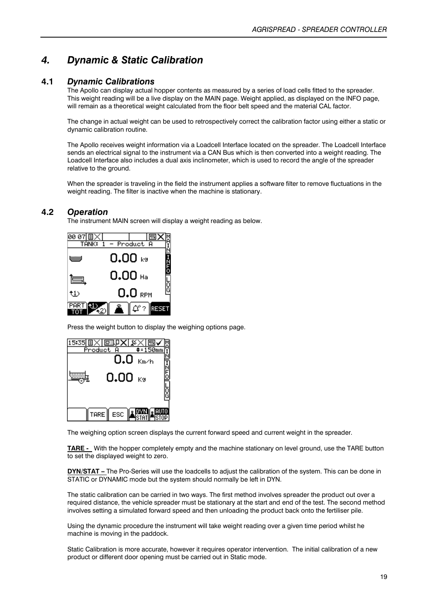# *4. Dynamic & Static Calibration*

#### **4.1** *Dynamic Calibrations*

The Apollo can display actual hopper contents as measured by a series of load cells fitted to the spreader. This weight reading will be a live display on the MAIN page. Weight applied, as displayed on the INFO page, will remain as a theoretical weight calculated from the floor belt speed and the material CAL factor.

The change in actual weight can be used to retrospectively correct the calibration factor using either a static or dynamic calibration routine.

The Apollo receives weight information via a Loadcell Interface located on the spreader. The Loadcell Interface sends an electrical signal to the instrument via a CAN Bus which is then converted into a weight reading. The Loadcell Interface also includes a dual axis inclinometer, which is used to record the angle of the spreader relative to the ground.

When the spreader is traveling in the field the instrument applies a software filter to remove fluctuations in the weight reading. The filter is inactive when the machine is stationary.

#### **4.2** *Operation*

The instrument MAIN screen will display a weight reading as below.

| 00 07<br>E |           | Product A | $\overline{\cdots}$ |
|------------|-----------|-----------|---------------------|
|            | 0.00 ⊧∘   |           |                     |
| Ġ          | $0.00$ Ha |           |                     |
| :1)        |           | $0.0$ rpm | ե<br>9              |
|            |           | ا ?"¢     |                     |

Press the weight button to display the weighing options page.

|           | [5]](DKI ) [X]   |      |        |
|-----------|------------------|------|--------|
| Product A |                  |      |        |
|           | 0.0              | Km/h |        |
|           | 0.00 $_{\rm K9}$ |      | ioπ2i  |
|           |                  |      | ត<br>ឲ |
|           | TARE    ESC      |      |        |

The weighing option screen displays the current forward speed and current weight in the spreader.

**TARE -** With the hopper completely empty and the machine stationary on level ground, use the TARE button to set the displayed weight to zero.

**DYN/STAT** – The Pro-Series will use the loadcells to adjust the calibration of the system. This can be done in STATIC or DYNAMIC mode but the system should normally be left in DYN.

The static calibration can be carried in two ways. The first method involves spreader the product out over a required distance, the vehicle spreader must be stationary at the start and end of the test. The second method involves setting a simulated forward speed and then unloading the product back onto the fertiliser pile.

Using the dynamic procedure the instrument will take weight reading over a given time period whilst he machine is moving in the paddock.

Static Calibration is more accurate, however it requires operator intervention. The initial calibration of a new product or different door opening must be carried out in Static mode.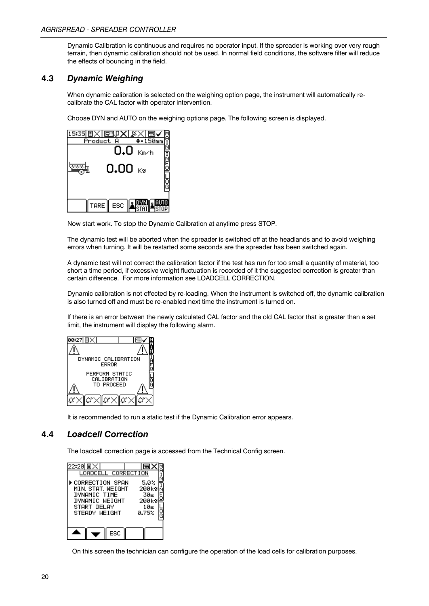Dynamic Calibration is continuous and requires no operator input. If the spreader is working over very rough terrain, then dynamic calibration should not be used. In normal field conditions, the software filter will reduce the effects of bouncing in the field.

#### **4.3** *Dynamic Weighing*

When dynamic calibration is selected on the weighing option page, the instrument will automatically recalibrate the CAL factor with operator intervention.

Choose DYN and AUTO on the weighing options page. The following screen is displayed.

| 原歌贝<br>Product A |      |          |
|------------------|------|----------|
| 0.0              | Km/h |          |
| $0.00 \;$ Kg     |      |          |
|                  |      | ត្ត<br>G |
|                  |      |          |
| TARE ESC         |      |          |

Now start work. To stop the Dynamic Calibration at anytime press STOP.

The dynamic test will be aborted when the spreader is switched off at the headlands and to avoid weighing errors when turning. It will be restarted some seconds are the spreader has been switched again.

A dynamic test will not correct the calibration factor if the test has run for too small a quantity of material, too short a time period, if excessive weight fluctuation is recorded of it the suggested correction is greater than certain difference. For more information see LOADCELL CORRECTION.

Dynamic calibration is not effected by re-loading. When the instrument is switched off, the dynamic calibration is also turned off and must be re-enabled next time the instrument is turned on.

If there is an error between the newly calculated CAL factor and the old CAL factor that is greater than a set limit, the instrument will display the following alarm.

| 00:27  EI $\times$  |             |   |
|---------------------|-------------|---|
|                     |             |   |
| DYNAMIC CALIBRATION | ERROR       |   |
| PERFORM STATIC      | CALIBRATION |   |
|                     | TO PROCEED  | Ğ |
|                     |             |   |

It is recommended to run a static test if the Dynamic Calibration error appears.

### **4.4** *Loadcell Correction*

The loadcell correction page is accessed from the Technical Config screen.

| 目<br>22:20<br>LOADCELL CORRECTION                                                                       | G                                                       |
|---------------------------------------------------------------------------------------------------------|---------------------------------------------------------|
| ⊳CORRECTION SPAN<br>MIN. STAT. WEIGHT<br>DYNAMIC TIME<br>DYNAMIC WEIGHT<br>START DELAY<br>STEADY WEIGHT | 5.0%<br>200k9<br>30s<br>200k9<br>10s<br>ō<br>G<br>0.75% |
| ESC                                                                                                     |                                                         |

On this screen the technician can configure the operation of the load cells for calibration purposes.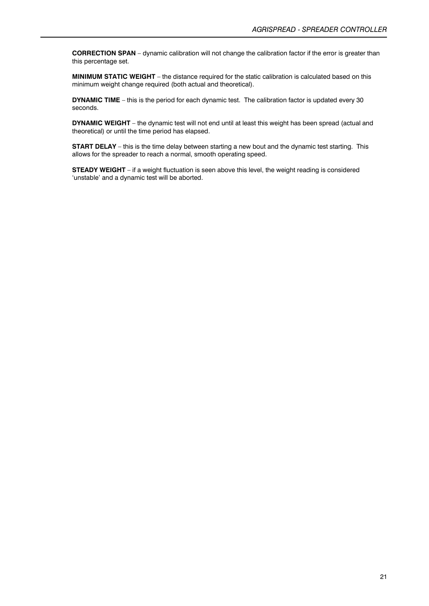**CORRECTION SPAN** – dynamic calibration will not change the calibration factor if the error is greater than this percentage set.

**MINIMUM STATIC WEIGHT** – the distance required for the static calibration is calculated based on this minimum weight change required (both actual and theoretical).

**DYNAMIC TIME** – this is the period for each dynamic test. The calibration factor is updated every 30 seconds.

**DYNAMIC WEIGHT** – the dynamic test will not end until at least this weight has been spread (actual and theoretical) or until the time period has elapsed.

**START DELAY** – this is the time delay between starting a new bout and the dynamic test starting. This allows for the spreader to reach a normal, smooth operating speed.

**STEADY WEIGHT** – if a weight fluctuation is seen above this level, the weight reading is considered 'unstable' and a dynamic test will be aborted.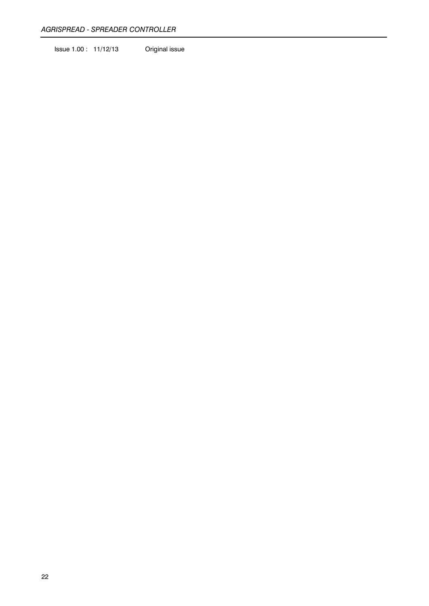Issue 1.00 : 11/12/13 Original issue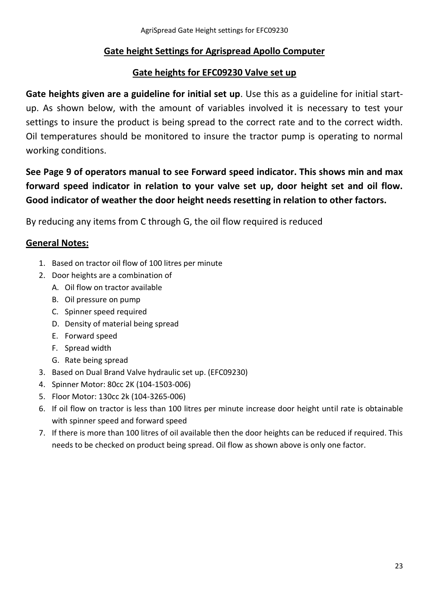### **Gate height Settings for Agrispread Apollo Computer**

### **Gate heights for EFC09230 Valve set up**

**Gate heights given are a guideline for initial set up**. Use this as a guideline for initial startup. As shown below, with the amount of variables involved it is necessary to test your settings to insure the product is being spread to the correct rate and to the correct width. Oil temperatures should be monitored to insure the tractor pump is operating to normal working conditions.

# **See Page 9 of operators manual to see Forward speed indicator. This shows min and max forward speed indicator in relation to your valve set up, door height set and oil flow. Good indicator of weather the door height needs resetting in relation to other factors.**

By reducing any items from C through G, the oil flow required is reduced

### **General Notes:**

- 1. Based on tractor oil flow of 100 litres per minute
- 2. Door heights are a combination of
	- A. Oil flow on tractor available
	- B. Oil pressure on pump
	- C. Spinner speed required
	- D. Density of material being spread
	- E. Forward speed
	- F. Spread width
	- G. Rate being spread
- 3. Based on Dual Brand Valve hydraulic set up. (EFC09230)
- 4. Spinner Motor: 80cc 2K (104-1503-006)
- 5. Floor Motor: 130cc 2k (104-3265-006)
- 6. If oil flow on tractor is less than 100 litres per minute increase door height until rate is obtainable with spinner speed and forward speed
- 7. If there is more than 100 litres of oil available then the door heights can be reduced if required. This needs to be checked on product being spread. Oil flow as shown above is only one factor.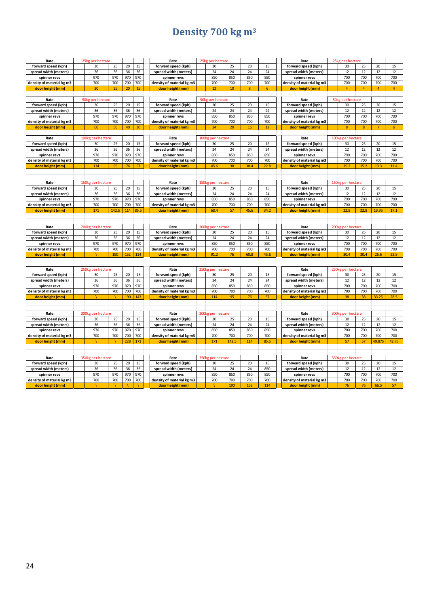# **Density 700 kg m<sup>3</sup>**

| Rate                      | 25kg per hectare  |       |     |      | Rate                      | 25kg per hectare  |       |      |      | Rate                      | 25kg per hectare  |                |                |       |
|---------------------------|-------------------|-------|-----|------|---------------------------|-------------------|-------|------|------|---------------------------|-------------------|----------------|----------------|-------|
| forward speed (kph)       | 30                | 25    | 20  | 15   | forward speed (kph)       | 30                | 25    | 20   | 15   | forward speed (kph)       | 30                | 25             | 20             | 15    |
| spread width (meters)     | 36                | 36    | 36  | 36   | spread width (meters)     | 24                | 24    | 24   | 24   | spread width (meters)     | 12                | 12             | 12             | 12    |
| spinner revs              | 970               | 970   | 970 | 970  | spinner revs              | 850               | 850   | 850  | 850  | spinner revs              | 700               | 700            | 700            | 700   |
| density of material kg m3 | 700               | 700   | 700 | 700  | density of material kg m3 | 700               | 700   | 700  | 700  | density of material kg m3 | 700               | 700            | 700            | 700   |
| door height (mm)          | 30                | 25    | 20  | 15   | door height (mm)          | 12                | 10    | 8    | 6    | door height (mm)          | $\overline{4}$    | 4              | $\overline{4}$ | 4     |
|                           |                   |       |     |      |                           |                   |       |      |      |                           |                   |                |                |       |
| Rate                      | 50kg per hectare  |       |     |      | Rate                      | 50kg per hectare  |       |      |      | Rate                      | 50kg per hectare  |                |                |       |
| forward speed (kph)       | 30                | 25    | 20  | 15   | forward speed (kph)       | 30                | 25    | 20   | 15   | forward speed (kph)       | 30                | 25             | 20             | 15    |
| spread width (meters)     | 36                | 36    | 36  | 36   | spread width (meters)     | 24                | 24    | 24   | 24   | spread width (meters)     | 12                | 12             | 12             | 12    |
| spinner revs              | 970               | 970   | 970 | 970  | spinner revs              | 850               | 850   | 850  | 850  | spinner revs              | 700               | 700            | 700            | 700   |
| density of material kg m3 | 700               | 700   | 700 | 700  | density of material kg m3 | 700               | 700   | 700  | 700  | density of material kg m3 | 700               | 700            | 700            | 700   |
| door height (mm)          | 60                | 50    | 40  | 30   | door height (mm)          | 24                | 20    | 16   | 12   | door height (mm)          | $\boldsymbol{8}$  | $\overline{8}$ | $\overline{7}$ | 6     |
|                           |                   |       |     |      |                           |                   |       |      |      |                           |                   |                |                |       |
| Rate                      | 100kg per hectare |       |     |      | Rate                      | 100kg per hectare |       |      |      | Rate                      | 100kg per hectare |                |                |       |
| forward speed (kph)       | 30                | 25    | 20  | 15   | forward speed (kph)       | 30                | 25    | 20   | 15   | forward speed (kph)       | 30                | 25             | 20             | 15    |
| spread width (meters)     | 36                | 36    | 36  | 36   | spread width (meters)     | 24                | 24    | 24   | 24   | spread width (meters)     | 12                | 12             | 12             | 12    |
| spinner revs              | 970               | 970   | 970 | 970  | spinner revs              | 850               | 850   | 850  | 850  | spinner revs              | 700               | 700            | 700            | 700   |
| density of material kg m3 | 700               | 700   | 700 | 700  | density of material kg m3 | 700               | 700   | 700  | 700  | density of material kg m3 | 700               | 700            | 700            | 700   |
| door height (mm)          | 114               | 95    | 76  | 57   | door height (mm)          | 45.6              | 38    | 30.4 | 22.8 | door height (mm)          | 15.2              | 15.2           | 13.3           | 11.4  |
|                           |                   |       |     |      |                           |                   |       |      |      |                           |                   |                |                |       |
|                           |                   |       |     |      |                           |                   |       |      |      |                           |                   |                |                |       |
| Rate                      | 150kg per hectare |       |     |      | Rate                      | 150kg per hectare |       |      |      | Rate                      | 150kg per hectare |                |                |       |
| forward speed (kph)       | 30                | 25    | 20  | 15   | forward speed (kph)       | 30                | 25    | 20   | 15   | forward speed (kph)       | 30                | 25             | 20             | 15    |
| spread width (meters)     | 36                | 36    | 36  | 36   | spread width (meters)     | 24                | 24    | 24   | 24   | spread width (meters)     | 12                | 12             | 12             | 12    |
| spinner revs              | 970               | 970   | 970 | 970  | spinner revs              | 850               | 850   | 850  | 850  | spinner revs              | 700               | 700            | 700            | 700   |
| density of material kg m3 | 700               | 700   | 700 | 700  | density of material kg m3 | 700               | 700   | 700  | 700  | density of material kg m3 | 700               | 700            | 700            | 700   |
| door height (mm)          | 171               | 142.5 | 114 | 85.5 | door height (mm)          | 68.4              | 57    | 45.6 | 34.2 | door height (mm)          | 22.8              | 22.8           | 19.95          | 17.1  |
|                           |                   |       |     |      |                           |                   |       |      |      |                           |                   |                |                |       |
|                           |                   |       |     |      |                           |                   |       |      |      |                           |                   |                |                |       |
| Rate                      | 200kg per hectare |       |     |      | Rate                      | 200kg per hectare |       |      |      | Rate                      | 200kg per hectare |                |                |       |
| forward speed (kph)       | 30                | 25    | 20  | 15   | forward speed (kph)       | 30                | 25    | 20   | 15   | forward speed (kph)       | 30                | 25             | 20             | 15    |
| spread width (meters)     | 36                | 36    | 36  | 36   | spread width (meters)     | 24                | 24    | 24   | 24   | spread width (meters)     | 12                | 12             | 12             | 12    |
| spinner revs              | 970               | 970   | 970 | 970  | spinner revs              | 850               | 850   | 850  | 850  | spinner revs              | 700               | 700            | 700            | 700   |
| density of material kg m3 | 700               | 700   | 700 | 700  | density of material kg m3 | 700               | 700   | 700  | 700  | density of material kg m3 | 700               | 700            | 700            | 700   |
| door height (mm)          |                   | 190   | 152 | 114  | door height (mm)          | 91.2              | 76    | 60.8 | 45.6 | door height (mm)          | 30.4              | 30.4           | 26.6           | 22.8  |
|                           |                   |       |     |      |                           |                   |       |      |      |                           |                   |                |                |       |
|                           |                   |       |     |      |                           |                   |       |      |      |                           |                   |                |                |       |
| Rate                      | 250kg per hectare |       |     |      | Rate                      | 250kg per hectare |       |      |      | Rate                      | 250kg per hectare |                |                |       |
| forward speed (kph)       | 30                | 25    | 20  | 15   | forward speed (kph)       | 30                | 25    | 20   | 15   | forward speed (kph)       | 30                | 25             | 20             | 15    |
| spread width (meters)     | 36                | 36    | 36  | 36   | spread width (meters)     | 24                | 24    | 24   | 24   | spread width (meters)     | 12                | 12             | 12             | 12    |
| spinner revs              | 970               | 970   | 970 | 970  | spinner revs              | 850               | 850   | 850  | 850  | spinner revs              | 700               | 700            | 700            | 700   |
| density of material kg m3 | 700               | 700   | 700 | 700  | density of material kg m3 | 700               | 700   | 700  | 700  | density of material kg m3 | 700               | 700            | 700            | 700   |
| door height (mm)          |                   |       | 190 | 143  | door height (mm)          | 114               | 95    | 76   | 57   | door height (mm)          | 38                | 38             | 33.25          | 28.5  |
|                           |                   |       |     |      |                           |                   |       |      |      |                           |                   |                |                |       |
|                           |                   |       |     |      |                           |                   |       |      |      |                           |                   |                |                |       |
| Rate                      | 300kg per hectare |       |     |      | Rate                      | 300kg per hectare |       |      |      | Rate                      | 300kg per hectare |                |                |       |
| forward speed (kph)       | 30                | 25    | 20  | 15   | forward speed (kph)       | 30                | 25    | 20   | 15   | forward speed (kph)       | 30                | 25             | 20             | 15    |
| spread width (meters)     | 36                | 36    | 36  | 36   | spread width (meters)     | 24                | 24    | 24   | 24   | spread width (meters)     | 12                | 12             | 12             | 12    |
| spinner revs              | 970               | 970   | 970 | 970  | spinner revs              | 850               | 850   | 850  | 850  | spinner revs              | 700               | 700            | 700            | 700   |
| density of material kg m3 | 700               | 700   | 700 | 700  | density of material kg m3 | 700               | 700   | 700  | 700  | density of material kg m3 | 700               | 700            | 700            | 700   |
| door height (mm)          |                   |       | 228 | 171  | door height (mm)          | 171               | 142.5 | 114  | 85.5 | door height (mm)          | 57                | 57             | 49.875         | 42.75 |

| Rate                      | 350kg per hectare |                 |     |     | Rate                      | 350kg per hectare |     |     |     | Rate                      | 350kg per hectare |     |     |     |
|---------------------------|-------------------|-----------------|-----|-----|---------------------------|-------------------|-----|-----|-----|---------------------------|-------------------|-----|-----|-----|
| forward speed (kph)       |                   |                 | 20  | 15  | forward speed (kph)       | 30                |     | 20  |     | forward speed (kph)       | 30                |     | zu  |     |
| spread width (meters)     |                   |                 | 36  | 36  | spread width (meters)     | 24                |     | 24  | 850 | spread width (meters)     |                   |     |     |     |
| spinner revs              | 970               | 970             | 970 | 970 | spinner revs              | 850               | 850 | 850 | 850 | spinner revs              | 700               | 700 | 700 | 700 |
| density of material kg m3 | 700               | 70 <sub>4</sub> | 700 | 700 | density of material kg m3 | 700               | 700 | 700 | 700 | density of material kg m3 | 700               | 700 | 700 | 700 |
| door height (mm)          |                   |                 |     |     | door height (mm)          |                   | 190 | 152 | 114 | door height (mm)          |                   | /b  | 66. |     |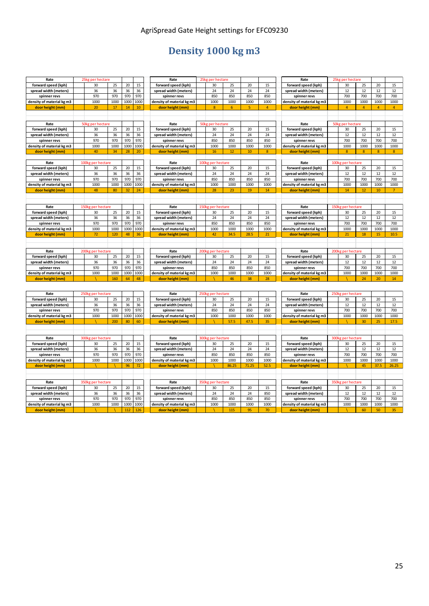# AgriSpread Gate Height settings for EFC09230

# **Density 1000 kg m3**

| Rate                      | 25kg per hectare  |      |      |      | Rate                      |              | 25kg per hectare  |       |       |                | Rate                      |                  | 25kg per hectare  |                 |                |                 |
|---------------------------|-------------------|------|------|------|---------------------------|--------------|-------------------|-------|-------|----------------|---------------------------|------------------|-------------------|-----------------|----------------|-----------------|
| forward speed (kph)       | 30                | 25   | 20   | 15   | forward speed (kph)       |              | 30                | 25    | 20    | 15             | forward speed (kph)       |                  | 30                | 25              | 20             | 15              |
| spread width (meters)     | 36                | 36   | 36   | 36   | spread width (meters)     |              | 24                | 24    | 24    | 24             | spread width (meters)     |                  | 12                | 12              | 12             | 12              |
| spinner revs              | 970               | 970  | 970  | 970  | spinner revs              |              | 850               | 850   | 850   | 850            | spinner revs              |                  | 700               | 700             | 700            | 700             |
| density of material kg m3 | 1000              | 1000 | 1000 | 1000 | density of material kg m3 |              | 1000              | 1000  | 1000  | 1000           | density of material kg m3 |                  | 1000              | 1000            | 1000           | 1000            |
| door height (mm)          | 20                | 17   | 14   | 10   | door height (mm)          |              | 8 <sup>°</sup>    | 6     | 5     | $\overline{4}$ | door height (mm)          |                  | $\overline{4}$    | 4               | $\overline{4}$ | $\overline{4}$  |
|                           |                   |      |      |      |                           |              |                   |       |       |                |                           |                  |                   |                 |                |                 |
|                           |                   |      |      |      |                           |              |                   |       |       |                |                           |                  |                   |                 |                |                 |
| Rate                      | 50kg per hectare  |      |      |      | Rate                      |              | 50kg per hectare  |       |       |                | Rate                      |                  | 50kg per hectare  |                 |                |                 |
| forward speed (kph)       | 30                | 25   | 20   | 15   | forward speed (kph)       |              | 30                | 25    | 20    | 15             | forward speed (kph)       |                  | 30                | 25              | 20             | 15              |
| spread width (meters)     | 36                | 36   | 36   | 36   | spread width (meters)     |              | 24                | 24    | 24    | 24             | spread width (meters)     |                  | 12                | 12              | 12             | 12              |
| spinner revs              | 970               | 970  | 970  | 970  | spinner revs              |              | 850               | 850   | 850   | 850            | spinner revs              |                  | 700               | 700             | 700            | 700             |
| density of material kg m3 | 1000              | 1000 | 1000 | 1000 | density of material kg m3 |              | 1000              | 1000  | 1000  | 1000           | density of material kg m3 |                  | 1000              | 1000            | 1000           | 1000            |
| door height (mm)          | 40                | 34   | 28   | 20   | door height (mm)          |              | 16                | 12    | 10    | 8              | door height (mm)          |                  | 8                 | 8               | 8              | 8               |
|                           |                   |      |      |      |                           |              |                   |       |       |                |                           |                  |                   |                 |                |                 |
| Rate                      | 100kg per hectare |      |      |      | Rate                      |              | 100kg per hectare |       |       |                | Rate                      | <b>100kg</b>     | per hectare       |                 |                |                 |
| forward speed (kph)       | 30                | 25   | 20   | 15   | forward speed (kph)       |              | 30                | 25    | 20    | 15             | forward speed (kph)       |                  | 30                | 25              | 20             | 15              |
| spread width (meters)     | 36                | 36   | 36   | 36   | spread width (meters)     |              | 24                | 24    | 24    | 24             | spread width (meters)     |                  | 12                | 12              | 12             | 12              |
| spinner revs              | 970               | 970  | 970  | 970  | spinner revs              |              | 850               | 850   | 850   | 850            | spinner revs              |                  | 700               | 700             | 700            | 700             |
| density of material kg m3 | 1000              | 1000 | 1000 | 1000 | density of material kg m3 |              | 1000              | 1000  | 1000  | 1000           | density of material kg m3 |                  | 1000              | 1000            | 1000           | 1000            |
| door height (mm)          | 48                | 80   | 32   | 24   | door height (mm)          |              | 28                | 23    | 19    | 14             | door height (mm)          |                  | 14                | 12 <sup>2</sup> | 10             | $7\overline{ }$ |
|                           |                   |      |      |      |                           |              |                   |       |       |                |                           |                  |                   |                 |                |                 |
|                           |                   |      |      |      |                           |              |                   |       |       |                |                           |                  |                   |                 |                |                 |
| Rate                      | 150kg per hectare |      |      |      | Rate                      |              | 150kg per hectare |       |       |                | Rate                      |                  | 150kg per hectare |                 |                |                 |
| forward speed (kph)       | 30                | 25   | 20   | 15   | forward speed (kph)       |              | 30                | 25    | 20    | 15             | forward speed (kph)       |                  | 30                | 25              | 20             | 15              |
| spread width (meters)     | 36                | 36   | 36   | 36   | spread width (meters)     |              | 24                | 24    | 24    | 24             | spread width (meters)     |                  | 12                | 12              | 12             | 12              |
| spinner revs              | 970               | 970  | 970  | 970  | spinner revs              |              | 850               | 850   | 850   | 850            | spinner revs              |                  | 700               | 700             | 700            | 700             |
| density of material kg m3 | 1000              | 1000 | 1000 | 1000 | density of material kg m3 |              | 1000              | 1000  | 1000  | 1000           | density of material kg m3 |                  | 1000              | 1000            | 1000           | 1000            |
| door height (mm)          | 72                | 120  | 48   | 36   | door height (mm)          |              | 42                | 34.5  | 28.5  | 21             | door height (mm)          |                  | 21                | 18              | 15             | 10.5            |
|                           |                   |      |      |      |                           |              |                   |       |       |                |                           |                  |                   |                 |                |                 |
|                           |                   |      |      |      |                           |              |                   |       |       |                |                           |                  |                   |                 |                |                 |
| Rate                      | 200kg per hectare |      |      |      | Rate                      | <b>200kg</b> | per hectare       |       |       |                | Rate                      | 200 <sub>k</sub> | per hectare       |                 |                |                 |
| forward speed (kph)       | 30                | 25   | 20   | 15   | forward speed (kph)       |              | 30                | 25    | 20    | 15             | forward speed (kph)       |                  | 30                | 25              | 20             | 15              |
| spread width (meters)     | 36                | 36   | 36   | 36   | spread width (meters)     |              | 24                | 24    | 24    | 24             | spread width (meters)     |                  | 12                | 12              | 12             | 12              |
| spinner revs              | 970               | 970  | 970  | 970  | spinner revs              |              | 850               | 850   | 850   | 850            | spinner revs              |                  | 700               | 700             | 700            | 700             |
| density of material kg m3 | 1000              | 1000 | 1000 | 1000 | density of material kg m3 |              | 1000              | 1000  | 1000  | 1000           | density of material kg m3 |                  | 1000              | 1000            | 1000           | 1000            |
| door height (mm)          |                   | 160  | 64   | 48   | door height (mm)          |              |                   | 46    | 38    | 28             | door height (mm)          |                  |                   | 24              | 20             | 14              |
|                           |                   |      |      |      |                           |              |                   |       |       |                |                           |                  |                   |                 |                |                 |
|                           |                   |      |      |      |                           |              |                   |       |       |                |                           |                  |                   |                 |                |                 |
| Rate                      | 250kg per hectare |      |      |      | Rate                      |              | 250kg per hectare |       |       |                | Rate                      |                  | 250kg per hectare |                 |                |                 |
| forward speed (kph)       | 30                | 25   | 20   | 15   | forward speed (kph)       |              | 30                | 25    | 20    | 15             | forward speed (kph)       |                  | 30                | 25              | 20             | 15              |
| spread width (meters)     | 36                | 36   | 36   | 36   | spread width (meters)     |              | 24                | 24    | 24    | 24             | spread width (meters)     |                  | 12                | 12              | 12             | 12              |
| spinner revs              | 970               | 970  | 970  | 970  | spinner revs              |              | 850               | 850   | 850   | 850            | spinner revs              |                  | 700               | 700             | 700            | 700             |
| density of material kg m3 | 1000              | 1000 | 1000 | 1000 | density of material kg m3 |              | 1000              | 1000  | 1000  | 1000           | density of material kg m3 |                  | 1000              | 1000            | 1000           | 1000            |
| door height (mm)          |                   | 200  | 80   | 60   | door height (mm)          |              |                   | 57.5  | 47.5  | 35             | door height (mm)          |                  |                   | 30              | 25             | 17.5            |
|                           |                   |      |      |      |                           |              |                   |       |       |                |                           |                  |                   |                 |                |                 |
|                           |                   |      |      |      |                           |              |                   |       |       |                |                           |                  |                   |                 |                |                 |
| Rate                      | 300kg per hectare |      |      |      | Rate                      |              | 300kg per hectare |       |       |                | Rate                      | 300 <sub>k</sub> | per hectare       |                 |                |                 |
| forward speed (kph)       | 30                | 25   | 20   | 15   | forward speed (kph)       |              | 30                | 25    | 20    | 15             | forward speed (kph)       |                  | 30                | 25              | 20             | 15              |
| spread width (meters)     | 36                | 36   | 36   | 36   | spread width (meters)     |              | 24                | 24    | 24    | 24             | spread width (meters)     |                  | 12                | 12              | 12             | 12              |
| spinner revs              | 970               | 970  | 970  | 970  | spinner revs              |              | 850               | 850   | 850   | 850            | spinner revs              |                  | 700               | 700             | 700            | 700             |
| density of material kg m3 | 1000              | 1000 | 1000 | 1000 | density of material kg m3 |              | 1000              | 1000  | 1000  | 1000           | density of material kg m3 |                  | 1000              | 1000            | 1000           | 1000            |
| door height (mm)          |                   |      | 96   | 72   | door height (mm)          |              |                   | 86.25 | 71.25 | 52.5           | door height (mm)          |                  |                   | 45              | 37.5           | 26.25           |
|                           |                   |      |      |      |                           |              |                   |       |       |                |                           |                  |                   |                 |                |                 |
|                           |                   |      |      |      |                           |              |                   |       |       |                |                           |                  |                   |                 |                |                 |
| Rate                      | 350kg per hectare |      |      |      | Rate                      |              | 350kg per hectare |       |       |                | Rate                      | 350kg            | per hectare       |                 |                |                 |
| forward speed (kph)       | 30                | 25   | 20   | 15   | forward speed (kph)       |              | 30                | 25    | 20    | 15             | forward speed (kph)       |                  | 30                | 25              | 20             | 15              |
| spread width (meters)     | 36                | 36   | 36   | 36   | spread width (meters)     |              | 24                | 24    | 24    | 850            | spread width (meters)     |                  | 12                | 12              | 12             | 12              |
| spinner revs              | 970               | 970  | 970  | 970  | spinner revs              |              | 850               | 850   | 850   | 850            | spinner revs              |                  | 700               | 700             | 700            | 700             |
| density of material kg m3 | 1000              | 1000 | 1000 | 1000 | density of material kg m3 |              | 1000              | 1000  | 1000  | 1000           | density of material kg m3 |                  | 1000              | 1000            | 1000           | 1000            |
| door height (mm)          |                   |      | 112  | 126  | door height (mm)          |              |                   | 115   | 95    | 70             | door height (mm)          |                  |                   | 60              | 50             | 35              |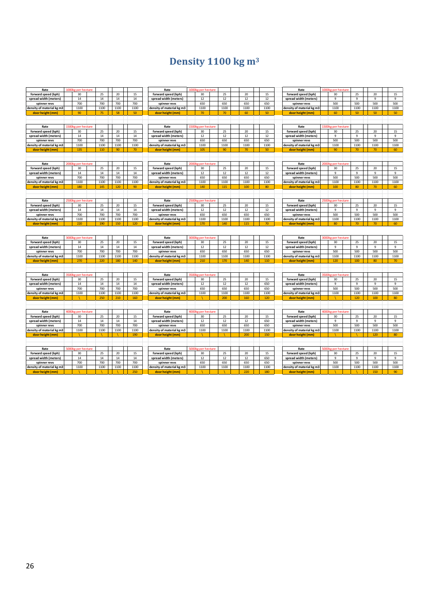# **Density 1100 kg m<sup>3</sup>**

| Rate                                          | <b>1000kg per hectare</b> |      |      |             | Rate                                          |       | 1000kg per hectare |        |             |             | Rate                                          |       | 1000kg per hectare |                    |             |                |
|-----------------------------------------------|---------------------------|------|------|-------------|-----------------------------------------------|-------|--------------------|--------|-------------|-------------|-----------------------------------------------|-------|--------------------|--------------------|-------------|----------------|
| forward speed (kph)                           | 30                        | 25   | 20   | 15          | forward speed (kph)                           |       | 30                 | 25     | 20          | 15          | forward speed (kph)                           |       | 30                 | 25                 | 20          | 15             |
| spread width (meters)                         | 14                        | 14   | 14   | 14          | spread width (meters)                         |       | 12                 | 12     | 12          | 12          | spread width (meters)                         |       | 9                  | $\mathbf{q}$       | 9           | 9              |
| spinner revs                                  | 700                       | 700  | 700  | 700         | spinner revs                                  |       | 650                | 650    | 650         | 650         | spinner revs                                  |       | 500                | 500                | 500         | 500            |
| density of material kg m3                     | 1100                      | 1100 | 1100 | 1100        | density of material kg m3                     |       | 1100               | 1100   | 1100        | 1100        | density of material kg m3                     |       | 1100               | 1100               | 1100        | 1100           |
| door height (mm)                              | 90                        | 75   | 58   | 50          | door height (mm)                              |       | 70                 | 70     | 60          | 50          | door height (mm)                              |       | 60                 | 50                 | 50          | 50             |
|                                               |                           |      |      |             |                                               |       |                    |        |             |             |                                               |       |                    |                    |             |                |
|                                               |                           |      |      |             |                                               |       |                    |        |             |             |                                               |       |                    |                    |             |                |
| Rate                                          | 1500kg per hectare        |      |      |             | Rate                                          |       | 1500kg per hectare |        |             |             | Rate                                          |       | 1500kg per hectar  |                    |             |                |
| forward speed (kph)                           | 30                        | 25   | 20   | 15          | forward speed (kph)                           |       | 30                 | 25     | 20          | 15          | forward speed (kph)                           |       | 30                 | 25                 | 20          | 15             |
| spread width (meters)                         | 14                        | 14   | 14   | 14          | spread width (meters)                         |       | 12                 | 12     | 12          | 12          | spread width (meters)                         |       | 9                  | 9                  | 9           | 9              |
| spinner revs                                  | 700                       | 700  | 700  | 700         | spinner revs                                  |       | 650                | 650    | 650         | 650         | spinner revs                                  |       | 500                | 500                | 500         | 500            |
| density of material kg m3                     | 1100                      | 1100 | 1100 | 1100        | density of material kg m3                     |       | 1100               | 1100   | 1100        | 1100        | density of material kg m3                     |       | 1100               | 1100               | 1100        | 1100           |
| door height (mm)                              | 135                       | 110  | 90   | 70          | door height (mm)                              |       | 105                | 90     | 70          | 50          | door height (mm)                              |       | 90                 | 70                 | 70          | 60             |
|                                               |                           |      |      |             |                                               |       |                    |        |             |             |                                               |       |                    |                    |             |                |
|                                               |                           |      |      |             |                                               |       |                    |        |             |             |                                               |       |                    |                    |             |                |
| Rate                                          | 2000kg per hectare        |      |      |             | Rate                                          |       | 2000kg per hectare |        |             |             | Rate                                          |       | 2000kg per hectare |                    |             |                |
| forward speed (kph)                           | 30                        | 25   | 20   | 15          | forward speed (kph)                           |       | 30                 | 25     | 20          | 15          | forward speed (kph)                           |       | 30                 | 25                 | 20          | 15             |
| spread width (meters)                         | 14                        | 14   | 14   | 14          | spread width (meters)                         |       | 12                 | $12\,$ | 12          | $12\,$      | spread width (meters)                         |       | 9                  | $\overline{9}$     | $9$         | $\mathsf g$    |
| spinner revs                                  | 700                       | 700  | 700  | 700         | spinner revs                                  |       | 650                | 650    | 650         | 650         | spinner revs                                  |       | 500                | 500                | 500         | 500            |
| density of material kg m3                     | 1100                      | 1100 | 1100 | 1100        | density of material kg m3                     |       | 1100               | 1100   | 1100        | 1100        | density of material kg m3                     |       | 1100               | 1100               | 1100        | 1100           |
| door height (mm)                              | 180                       | 145  | 120  | 90          | door height (mm)                              |       | 140                | 115    | 100         | 80          | door height (mm)                              |       | 100                | 80                 | 70          | 60             |
|                                               |                           |      |      |             |                                               |       |                    |        |             |             |                                               |       |                    |                    |             |                |
|                                               |                           |      |      |             |                                               |       |                    |        |             |             |                                               |       |                    |                    |             |                |
| Rate                                          | 2500kg per hectare        |      |      |             | Rate                                          |       | 2500kg per hectare |        |             |             | Rate                                          |       | 2500kg per hectare |                    |             |                |
| forward speed (kph)                           | 30                        | 25   | 20   | 15          | forward speed (kph)                           |       | 30                 | 25     | 20          | 15          | forward speed (kph)                           |       | 30                 | 25                 | 20          | 15             |
| spread width (meters)                         | 14                        | 14   | 14   | 14          | spread width (meters)                         |       | 12                 | 12     | 12          | 12          | spread width (meters)                         |       | 9                  | $\mathbf{q}$       | 9           | 9              |
| spinner revs                                  | 700                       | 700  | 700  | 700         | spinner revs                                  |       | 650                | 650    | 650         | 650         | spinner revs                                  |       | 500                | 500                | 500         | 500            |
| density of material kg m3                     | 1100                      | 1100 | 1100 | 1100        | density of material kg m3                     |       | 1100               | 1100   | 1100        | 1100        | density of material kg m3                     |       | 1100               | 1100               | 1100        | 1100           |
| door height (mm)                              | 220                       | 190  | 150  | 120         | door height (mm)                              |       | 170                | 140    | 115         | 70          | door height (mm)                              |       | 80                 | 70                 | 70          | 60             |
|                                               |                           |      |      |             |                                               |       |                    |        |             |             |                                               |       |                    |                    |             |                |
|                                               |                           |      |      |             |                                               |       |                    |        |             |             |                                               |       |                    |                    |             |                |
|                                               |                           |      |      |             |                                               |       |                    |        |             |             |                                               |       |                    |                    |             |                |
|                                               |                           |      |      |             |                                               |       |                    |        |             |             |                                               |       |                    |                    |             |                |
| Rate                                          | 3000kg per hectare        |      |      |             | Rate                                          |       | 3000kg per hectare |        |             |             | Rate                                          |       | 3000kg per hectare |                    |             |                |
| forward speed (kph)                           | 30                        | 25   | 20   | 15          | forward speed (kph)                           |       | 30                 | 25     | 20          | 15          | forward speed (kph)                           |       | 30                 | 25                 | 20          | 15             |
| spread width (meters)                         | 14                        | 14   | 14   | 14          | spread width (meters)                         |       | 12                 | 12     | 12          | 12          | spread width (meters)                         |       | 9                  | 9                  | 9           | $\overline{9}$ |
| spinner revs                                  | 700                       | 700  | 700  | 700         | spinner revs                                  |       | 650                | 650    | 650         | 650         | spinner revs                                  |       | 500                | 500                | 500         | 500            |
| density of material kg m3                     | 1100                      | 1100 | 1100 | 1100        | density of material kg m3                     |       | 1100               | 1100   | 1100        | 1100        | density of material kg m3                     |       | 1100               | 1100               | 1100        | 1100           |
| door height (mm)                              | 270                       | 220  | 180  | 140         | door height (mm)                              |       | 210                | 170    | 140         | 110         | door height (mm)                              |       | 120                | 100                | 80          | 70             |
|                                               |                           |      |      |             |                                               |       |                    |        |             |             |                                               |       |                    |                    |             |                |
|                                               |                           |      |      |             |                                               |       |                    |        |             |             |                                               |       |                    |                    |             |                |
| Rate                                          | 3500kg per hectare        |      |      |             | Rate                                          |       | 3500kg per hectare |        |             |             | Rate                                          |       | 3500kg per hectare |                    |             |                |
| forward speed (kph)                           | 30                        | 25   | 20   | 15          | forward speed (kph)                           |       | 30                 | 25     | 20          | 15          | forward speed (kph)                           |       | 30                 | 25<br>$\mathbf{q}$ | 20          | 15             |
| spread width (meters)                         | 14                        | 14   | 14   | 14          | spread width (meters)                         |       | $12\,$             | 12     | 12          | 650         | spread width (meters)                         |       | 9                  |                    | 9           | 9              |
| spinner revs                                  | 700                       | 700  | 700  | 700         | spinner revs                                  |       | 650                | 650    | 650         | 650         | spinner revs                                  |       | 500                | 500                | 500         | 500            |
| density of material kg m3                     | 1100                      | 1100 | 1100 | 1100        | density of material kg m3                     |       | 1100               | 1100   | 1100        | 1100        | density of material kg m3                     |       | 1100               | 1100               | 1100        | 1100           |
| door height (mm)                              |                           | 250  | 210  | 160         | door height (mm)                              |       |                    | 200    | 160         | 120         | door height (mm)                              |       |                    | 120                | 100         | 80             |
|                                               |                           |      |      |             |                                               |       |                    |        |             |             |                                               |       |                    |                    |             |                |
|                                               |                           |      |      |             |                                               |       |                    |        |             |             |                                               |       |                    |                    |             |                |
| Rate                                          | 4000kg per hectare        |      |      |             | Rate                                          | 4000k | per hectare        |        |             |             | Rate                                          | 4000k | per hectare        |                    |             |                |
| forward speed (kph)                           | 30                        | 25   | 20   | 15          | forward speed (kph)                           |       | 30                 | 25     | 20          | 15          | forward speed (kph)                           |       | 30                 | 25<br>$\mathbf{q}$ | 20          | 15             |
| spread width (meters)                         | 14                        | 14   | 14   | 14          | spread width (meters)                         |       | 12                 | 12     | 12          | 650         | spread width (meters)                         |       | 9                  |                    | 9           | 9              |
| spinner revs                                  | 700                       | 700  | 700  | 700         | spinner revs                                  |       | 650                | 650    | 650         | 650         | spinner revs                                  |       | 500                | 500                | 500         | 500            |
| density of material kg m3                     | 1100                      | 1100 | 1100 | 1100        | density of material kg m3                     |       | 1100               | 1100   | 1100        | 1100        | density of material kg m3                     |       | 1100               | 1100               | 1100        | 1100           |
| door height (mm)                              |                           |      |      | 190         | door height (mm)                              |       |                    |        | 200         | 150         | door height (mm)                              |       |                    |                    | 120         | 80             |
|                                               |                           |      |      |             |                                               |       |                    |        |             |             |                                               |       |                    |                    |             |                |
|                                               |                           |      |      |             |                                               |       |                    |        |             |             |                                               |       |                    |                    |             |                |
| Rate                                          | 5000kg per hectare        |      |      |             | Rate                                          |       | 5000kg per hectare |        |             |             | Rate                                          |       | 5000kg per hectare |                    |             |                |
| forward speed (kph)                           | 30                        | 25   | 20   | 15          | forward speed (kph)                           |       | 30                 | 25     | 20          | 15          | forward speed (kph)                           |       | 30                 | 25                 | 20          | 15             |
| spread width (meters)                         | 14                        | 14   | 14   | 14          | spread width (meters)                         |       | $12\,$             | 12     | 12          | 650         | spread width (meters)                         |       | 9                  | 9                  | 9           | $\overline{9}$ |
| spinner revs                                  | 700                       | 700  | 700  | 700         | spinner revs                                  |       | 650                | 650    | 650         | 650         | spinner revs                                  |       | 500                | 500                | 500         | 500            |
| density of material kg m3<br>door height (mm) | 1100                      | 1100 | 1100 | 1100<br>250 | density of material kg m3<br>door height (mm) |       | 1100               | 1100   | 1100<br>220 | 1100<br>180 | density of material kg m3<br>door height (mm) |       | 1100               | 1100               | 1100<br>150 | 1100<br>90     |